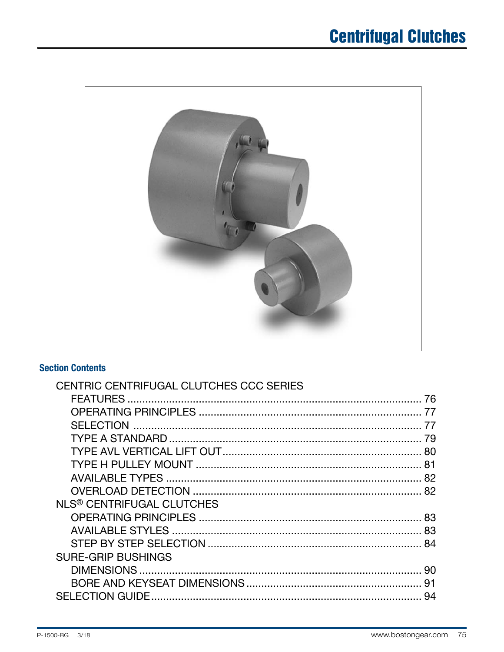

## **Section Contents**

| CENTRIC CENTRIFUGAL CLUTCHES CCC SERIES |    |
|-----------------------------------------|----|
|                                         | 76 |
|                                         |    |
|                                         |    |
|                                         | 79 |
|                                         |    |
|                                         |    |
|                                         |    |
|                                         |    |
| NLS <sup>®</sup> CENTRIFUGAL CLUTCHES   |    |
|                                         |    |
|                                         |    |
|                                         |    |
| <b>SURE-GRIP BUSHINGS</b>               |    |
|                                         | 90 |
|                                         |    |
|                                         | 94 |
|                                         |    |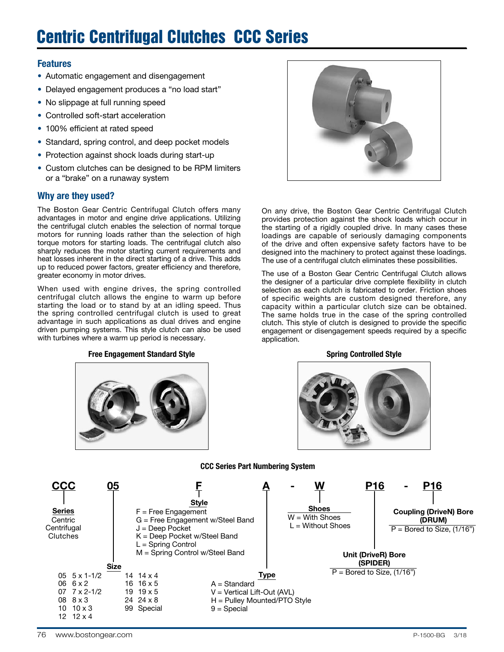# Centric Centrifugal Clutches CCC Series

#### Features

- Automatic engagement and disengagement
- Delayed engagement produces a "no load start"
- No slippage at full running speed
- Controlled soft-start acceleration
- 100% efficient at rated speed
- Standard, spring control, and deep pocket models
- Protection against shock loads during start-up
- Custom clutches can be designed to be RPM limiters or a "brake" on a runaway system

#### Why are they used?

The Boston Gear Centric Centrifugal Clutch offers many advantages in motor and engine drive applications. Utilizing the centrifugal clutch enables the selection of normal torque motors for running loads rather than the selection of high torque motors for starting loads. The centrifugal clutch also sharply reduces the motor starting current requirements and heat losses inherent in the direct starting of a drive. This adds up to reduced power factors, greater efficiency and therefore, greater economy in motor drives.

When used with engine drives, the spring controlled centrifugal clutch allows the engine to warm up before starting the load or to stand by at an idling speed. Thus the spring controlled centrifugal clutch is used to great advantage in such applications as dual drives and engine driven pumping systems. This style clutch can also be used with turbines where a warm up period is necessary.

#### Free Engagement Standard Style Spring Controlled Style Spring Controlled Style





On any drive, the Boston Gear Centric Centrifugal Clutch provides protection against the shock loads which occur in the starting of a rigidly coupled drive. In many cases these loadings are capable of seriously damaging components of the drive and often expensive safety factors have to be designed into the machinery to protect against these loadings. The use of a centrifugal clutch eliminates these possibilities.

The use of a Boston Gear Centric Centrifugal Clutch allows the designer of a particular drive complete flexibility in clutch selection as each clutch is fabricated to order. Friction shoes of specific weights are custom designed therefore, any capacity within a particular clutch size can be obtained. The same holds true in the case of the spring controlled clutch. This style of clutch is designed to provide the specific engagement or disengagement speeds required by a specific application.



#### CCC Series Part Numbering System

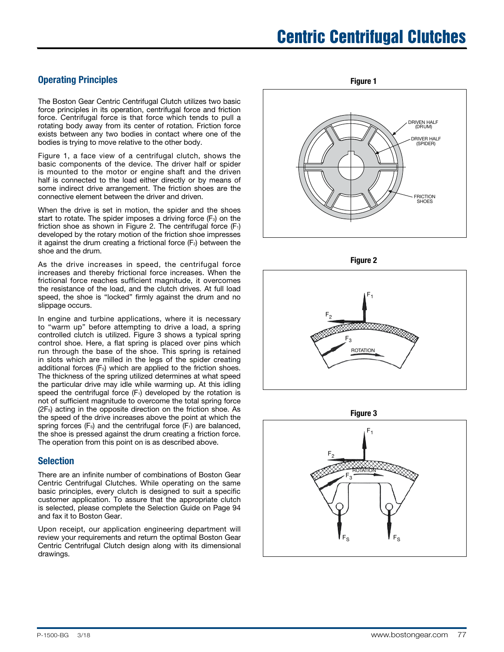### Operating Principles

The Boston Gear Centric Centrifugal Clutch utilizes two basic force principles in its operation, centrifugal force and friction force. Centrifugal force is that force which tends to pull a rotating body away from its center of rotation. Friction force exists between any two bodies in contact where one of the bodies is trying to move relative to the other body.

Figure 1, a face view of a centrifugal clutch, shows the basic components of the device. The driver half or spider is mounted to the motor or engine shaft and the driven half is connected to the load either directly or by means of some indirect drive arrangement. The friction shoes are the connective element between the driver and driven.

When the drive is set in motion, the spider and the shoes start to rotate. The spider imposes a driving force  $(F<sub>3</sub>)$  on the friction shoe as shown in Figure 2. The centrifugal force  $(F_1)$ developed by the rotary motion of the friction shoe impresses it against the drum creating a frictional force  $(F<sub>2</sub>)$  between the shoe and the drum.

As the drive increases in speed, the centrifugal force increases and thereby frictional force increases. When the frictional force reaches sufficient magnitude, it overcomes the resistance of the load, and the clutch drives. At full load speed, the shoe is "locked" firmly against the drum and no slippage occurs.

In engine and turbine applications, where it is necessary to "warm up" before attempting to drive a load, a spring controlled clutch is utilized. Figure 3 shows a typical spring control shoe. Here, a flat spring is placed over pins which run through the base of the shoe. This spring is retained in slots which are milled in the legs of the spider creating additional forces (F<sub>s</sub>) which are applied to the friction shoes. The thickness of the spring utilized determines at what speed the particular drive may idle while warming up. At this idling speed the centrifugal force  $(F_1)$  developed by the rotation is not of sufficient magnitude to overcome the total spring force (2F<sub>s</sub>) acting in the opposite direction on the friction shoe. As the speed of the drive increases above the point at which the spring forces  $(F_s)$  and the centrifugal force  $(F_1)$  are balanced, the shoe is pressed against the drum creating a friction force. The operation from this point on is as described above.

#### Selection

There are an infinite number of combinations of Boston Gear Centric Centrifugal Clutches. While operating on the same basic principles, every clutch is designed to suit a specific customer application. To assure that the appropriate clutch is selected, please complete the Selection Guide on Page 94 and fax it to Boston Gear.

Upon receipt, our application engineering department will review your requirements and return the optimal Boston Gear Centric Centrifugal Clutch design along with its dimensional drawings.

DRIVEN HALF (DRUM) DRIVER HALF (SPIDER) FRICTION **SHOES** Figure 1







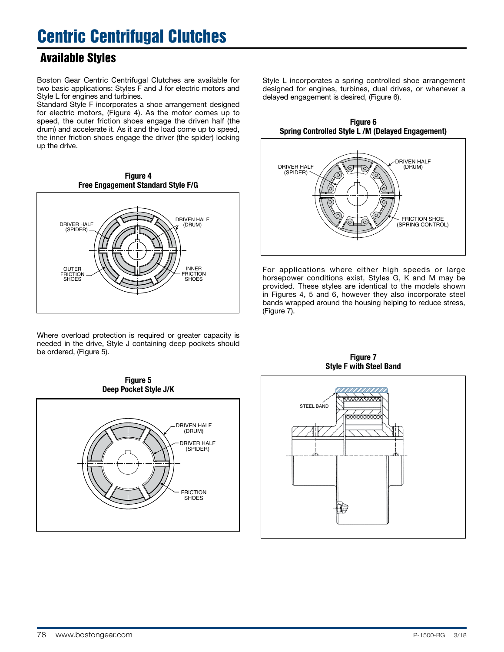## Available Styles

Boston Gear Centric Centrifugal Clutches are available for two basic applications: Styles F and J for electric motors and Style L for engines and turbines.

Standard Style F incorporates a shoe arrangement designed for electric motors, (Figure 4). As the motor comes up to speed, the outer friction shoes engage the driven half (the drum) and accelerate it. As it and the load come up to speed, the inner friction shoes engage the driver (the spider) locking up the drive.



Where overload protection is required or greater capacity is needed in the drive, Style J containing deep pockets should be ordered, (Figure 5).

Style L incorporates a spring controlled shoe arrangement designed for engines, turbines, dual drives, or whenever a delayed engagement is desired, (Figure 6).

Figure 6 Spring Controlled Style L /M (Delayed Engagement)



For applications where either high speeds or large horsepower conditions exist, Styles G, K and M may be provided. These styles are identical to the models shown in Figures 4, 5 and 6, however they also incorporate steel bands wrapped around the housing helping to reduce stress, (Figure 7).



Figure 7 Style F with Steel Band

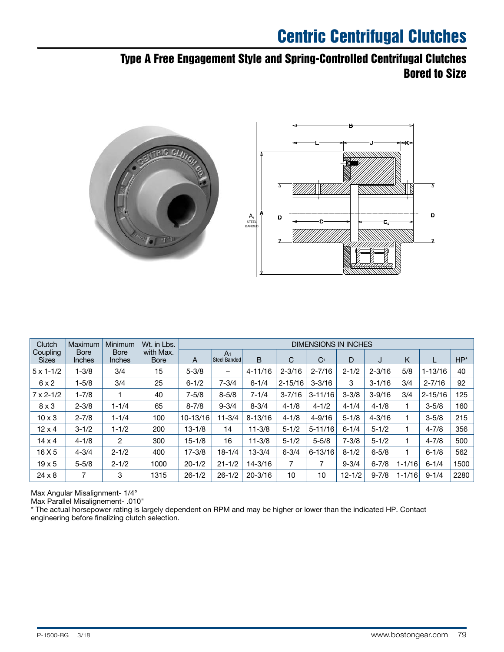## Type A Free Engagement Style and Spring-Controlled Centrifugal Clutches Bored to Size



| Clutch                   | Maximum               | Minimum                      | Wt. in Lbs.              | <b>DIMENSIONS IN INCHES</b> |                                       |             |                |                |            |            |            |             |        |
|--------------------------|-----------------------|------------------------------|--------------------------|-----------------------------|---------------------------------------|-------------|----------------|----------------|------------|------------|------------|-------------|--------|
| Coupling<br><b>Sizes</b> | <b>Bore</b><br>Inches | <b>Bore</b><br><b>Inches</b> | with Max.<br><b>Bore</b> | A                           | A <sub>1</sub><br><b>Steel Banded</b> | B           | С              | C <sub>1</sub> | D          | J          | Κ          |             | $HP^*$ |
| $5 \times 1 - 1/2$       | $1 - 3/8$             | 3/4                          | 15                       | $5 - 3/8$                   | $\overline{\phantom{m}}$              | $4 - 11/16$ | $2 - 3/16$     | $2 - 7/16$     | $2 - 1/2$  | $2 - 3/16$ | 5/8        | $1 - 13/16$ | 40     |
| 6x2                      | $1 - 5/8$             | 3/4                          | 25                       | $6 - 1/2$                   | $7 - 3/4$                             | $6 - 1/4$   | $2 - 15/16$    | $3 - 3/16$     | 3          | $3 - 1/16$ | 3/4        | $2 - 7/16$  | 92     |
| $7 \times 2 - 1/2$       | $1 - 7/8$             |                              | 40                       | $7 - 5/8$                   | $8 - 5/8$                             | $7 - 1/4$   | $3 - 7/16$     | $3 - 11/16$    | $3 - 3/8$  | $3 - 9/16$ | 3/4        | $2 - 15/16$ | 125    |
| $8 \times 3$             | $2 - 3/8$             | $1 - 1/4$                    | 65                       | $8 - 7/8$                   | $9 - 3/4$                             | $8 - 3/4$   | $4 - 1/8$      | $4 - 1/2$      | $4 - 1/4$  | $4 - 1/8$  |            | $3 - 5/8$   | 160    |
| $10 \times 3$            | $2 - 7/8$             | $1 - 1/4$                    | 100                      | 10-13/16                    | $11 - 3/4$                            | $8 - 13/16$ | $4 - 1/8$      | $4 - 9/16$     | $5 - 1/8$  | $4 - 3/16$ |            | $3 - 5/8$   | 215    |
| $12 \times 4$            | $3 - 1/2$             | $1 - 1/2$                    | 200                      | $13 - 1/8$                  | 14                                    | $11 - 3/8$  | $5 - 1/2$      | $5 - 11/16$    | $6 - 1/4$  | $5 - 1/2$  |            | $4 - 7/8$   | 356    |
| $14 \times 4$            | $4 - 1/8$             | 2                            | 300                      | $15 - 1/8$                  | 16                                    | $11 - 3/8$  | $5 - 1/2$      | $5 - 5/8$      | $7 - 3/8$  | $5 - 1/2$  |            | $4 - 7/8$   | 500    |
| 16 X 5                   | $4 - 3/4$             | $2 - 1/2$                    | 400                      | $17 - 3/8$                  | $18 - 1/4$                            | $13 - 3/4$  | $6 - 3/4$      | $6 - 13/16$    | $8 - 1/2$  | $6 - 5/8$  |            | $6 - 1/8$   | 562    |
| $19 \times 5$            | $5 - 5/8$             | $2 - 1/2$                    | 1000                     | $20 - 1/2$                  | $21 - 1/2$                            | $14 - 3/16$ | $\overline{7}$ |                | $9 - 3/4$  | $6 - 7/8$  | $1 - 1/16$ | $6 - 1/4$   | 1500   |
| $24 \times 8$            | 7                     | 3                            | 1315                     | $26 - 1/2$                  | $26 - 1/2$                            | $20 - 3/16$ | 10             | 10             | $12 - 1/2$ | $9 - 7/8$  | $1 - 1/16$ | $9 - 1/4$   | 2280   |

Max Angular Misalignment- 1/4°

Max Parallel Misalignement- .010"

\* The actual horsepower rating is largely dependent on RPM and may be higher or lower than the indicated HP. Contact engineering before finalizing clutch selection.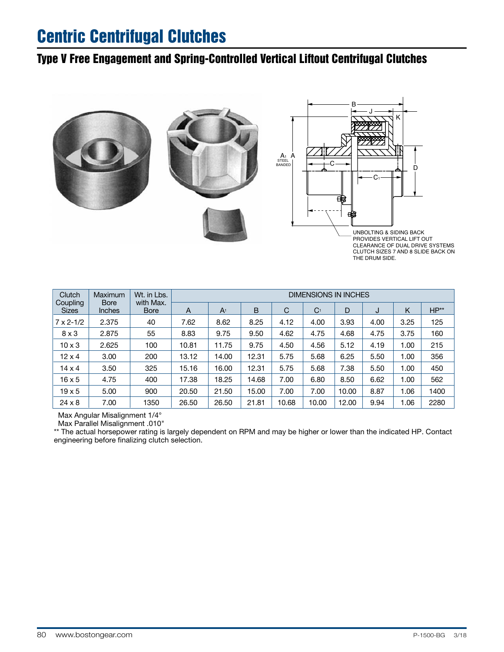## Type V Free Engagement and Spring-Controlled Vertical Liftout Centrifugal Clutches



Clutch | Maximum | Wt. in Lbs. DIMENSIONS IN INCHES<br>Coupling | Bore | with Max. | The Local Property | The Local Property | The Local Property | The Local Property with Max. Sizes | Inches | Bore | A | A<sub>1</sub> | B | C | C<sub>1</sub> | D | J | K | HP<sup>\*\*</sup> 7 x 2-1/2 2.375 40 7.62 8.62 8.25 4.12 4.00 3.93 4.00 3.25 125 8 x 3 | 2.875 | 55 | 8.83 | 9.75 | 9.50 | 4.62 | 4.75 | 4.68 | 4.75 | 3.75 | 160 10 x 3 | 2.625 | 100 | 10.81 | 11.75 | 9.75 | 4.50 | 4.56 | 5.12 | 4.19 | 1.00 | 215 12 x 4  $\parallel$  3.00  $\parallel$  200  $\parallel$  13.12  $\parallel$  14.00  $\parallel$  12.31  $\parallel$  5.75  $\parallel$  5.68  $\parallel$  6.25  $\parallel$  5.50  $\parallel$  1.00  $\parallel$  356 14 x 4  $\vert$  3.50  $\vert$  325  $\vert$  15.16  $\vert$  16.00  $\vert$  12.31  $\vert$  5.75  $\vert$  5.68  $\vert$  7.38  $\vert$  5.50  $\vert$  1.00  $\vert$  450 16 x 5 | 4.75 | 400 | 17.38 | 18.25 | 14.68 | 7.00 | 6.80 | 8.50 | 6.62 | 1.00 | 562 19 x 5  $\mid$   $\;$  5.00  $\;$   $\mid$   $\;$  900  $\;$   $\mid$   $\;$  20.50  $\;$   $\mid$  21.50  $\mid$  15.00  $\mid$  7.00  $\;$  7.00  $\;$   $\mid$  10.00  $\mid$  8.87  $\;$  1.06  $\mid$  1400 24 x 8 | 7.00 | 1350 | 26.50 | 26.50 | 21.81 | 10.68 | 10.00 | 12.00 | 9.94 | 1.06 | 2280

Max Angular Misalignment 1/4°

Max Parallel Misalignment .010"

\*\* The actual horsepower rating is largely dependent on RPM and may be higher or lower than the indicated HP. Contact engineering before finalizing clutch selection.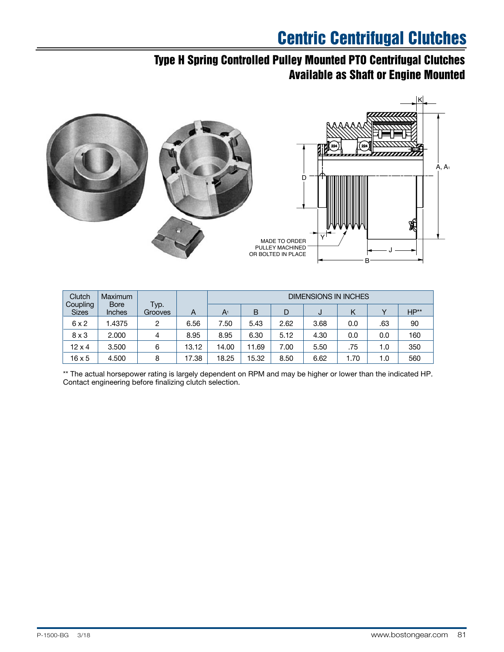## Type H Spring Controlled Pulley Mounted PTO Centrifugal Clutches Available as Shaft or Engine Mounted



| Clutch                   | Maximum               |                 | <b>DIMENSIONS IN INCHES</b> |                |       |      |      |      |              |           |
|--------------------------|-----------------------|-----------------|-----------------------------|----------------|-------|------|------|------|--------------|-----------|
| Coupling<br><b>Sizes</b> | <b>Bore</b><br>Inches | Typ.<br>Grooves | A                           | A <sup>1</sup> | B     |      | J    | Κ    | $\checkmark$ | $HP^{**}$ |
| 6x2                      | 1.4375                | 2               | 6.56                        | 7.50           | 5.43  | 2.62 | 3.68 | 0.0  | .63          | 90        |
| $8 \times 3$             | 2.000                 | 4               | 8.95                        | 8.95           | 6.30  | 5.12 | 4.30 | 0.0  | 0.0          | 160       |
| $12 \times 4$            | 3.500                 | 6               | 13.12                       | 14.00          | 1.69  | 7.00 | 5.50 | .75  | 1.0          | 350       |
| $16 \times 5$            | 4.500                 | 8               | 17.38                       | 18.25          | 15.32 | 8.50 | 6.62 | 1.70 | 1.0          | 560       |

\*\* The actual horsepower rating is largely dependent on RPM and may be higher or lower than the indicated HP. Contact engineering before finalizing clutch selection.